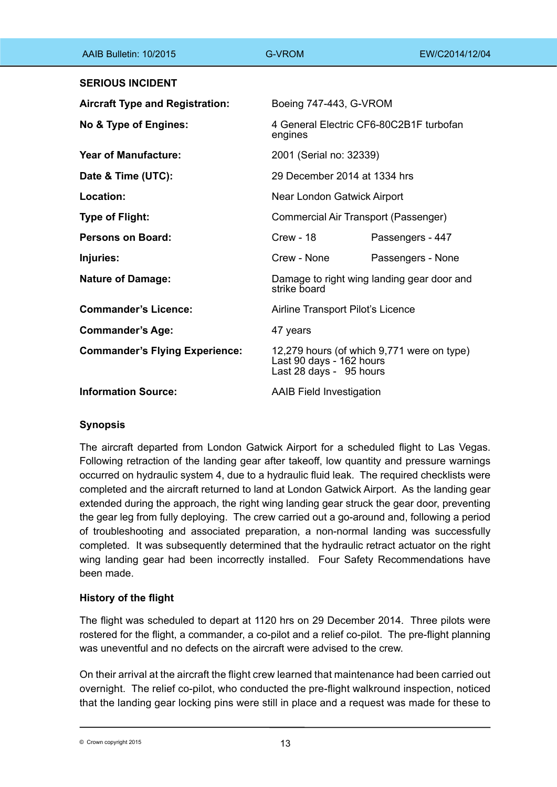| AAIB Bulletin: 10/2015                 | <b>G-VROM</b>                                                                                     | EW/C2014/12/04                             |
|----------------------------------------|---------------------------------------------------------------------------------------------------|--------------------------------------------|
| <b>SERIOUS INCIDENT</b>                |                                                                                                   |                                            |
| <b>Aircraft Type and Registration:</b> | Boeing 747-443, G-VROM                                                                            |                                            |
| No & Type of Engines:                  | engines                                                                                           | 4 General Electric CF6-80C2B1F turbofan    |
| <b>Year of Manufacture:</b>            | 2001 (Serial no: 32339)                                                                           |                                            |
| Date & Time (UTC):                     | 29 December 2014 at 1334 hrs                                                                      |                                            |
| Location:                              | Near London Gatwick Airport                                                                       |                                            |
| Type of Flight:                        | Commercial Air Transport (Passenger)                                                              |                                            |
| Persons on Board:                      | <b>Crew - 18</b>                                                                                  | Passengers - 447                           |
| Injuries:                              | Crew - None                                                                                       | Passengers - None                          |
| <b>Nature of Damage:</b>               | strike board                                                                                      | Damage to right wing landing gear door and |
| <b>Commander's Licence:</b>            | Airline Transport Pilot's Licence                                                                 |                                            |
| <b>Commander's Age:</b>                | 47 years                                                                                          |                                            |
| <b>Commander's Flying Experience:</b>  | 12,279 hours (of which 9,771 were on type)<br>Last 90 days - 162 hours<br>Last 28 days - 95 hours |                                            |
| <b>Information Source:</b>             | <b>AAIB Field Investigation</b>                                                                   |                                            |

# **Synopsis**

The aircraft departed from London Gatwick Airport for a scheduled flight to Las Vegas. Following retraction of the landing gear after takeoff, low quantity and pressure warnings occurred on hydraulic system 4, due to a hydraulic fluid leak. The required checklists were completed and the aircraft returned to land at London Gatwick Airport. As the landing gear extended during the approach, the right wing landing gear struck the gear door, preventing the gear leg from fully deploying. The crew carried out a go-around and, following a period of troubleshooting and associated preparation, a non-normal landing was successfully completed. It was subsequently determined that the hydraulic retract actuator on the right wing landing gear had been incorrectly installed. Four Safety Recommendations have been made.

# **History of the flight**

The flight was scheduled to depart at 1120 hrs on 29 December 2014. Three pilots were rostered for the flight, a commander, a co-pilot and a relief co-pilot. The pre-flight planning was uneventful and no defects on the aircraft were advised to the crew.

On their arrival at the aircraft the flight crew learned that maintenance had been carried out overnight. The relief co-pilot, who conducted the pre-flight walkround inspection, noticed that the landing gear locking pins were still in place and a request was made for these to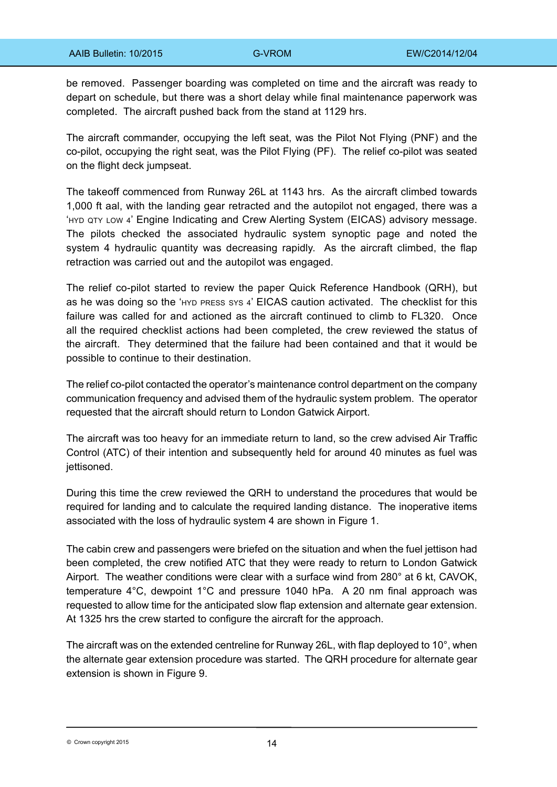be removed. Passenger boarding was completed on time and the aircraft was ready to depart on schedule, but there was a short delay while final maintenance paperwork was completed. The aircraft pushed back from the stand at 1129 hrs.

The aircraft commander, occupying the left seat, was the Pilot Not Flying (PNF) and the co-pilot, occupying the right seat, was the Pilot Flying (PF). The relief co-pilot was seated on the flight deck jumpseat.

The takeoff commenced from Runway 26L at 1143 hrs. As the aircraft climbed towards 1,000 ft aal, with the landing gear retracted and the autopilot not engaged, there was a 'hyd qty low 4' Engine Indicating and Crew Alerting System (EICAS) advisory message. The pilots checked the associated hydraulic system synoptic page and noted the system 4 hydraulic quantity was decreasing rapidly. As the aircraft climbed, the flap retraction was carried out and the autopilot was engaged.

The relief co-pilot started to review the paper Quick Reference Handbook (QRH), but as he was doing so the 'hyd press sys 4' EICAS caution activated. The checklist for this failure was called for and actioned as the aircraft continued to climb to FL320. Once all the required checklist actions had been completed, the crew reviewed the status of the aircraft. They determined that the failure had been contained and that it would be possible to continue to their destination.

The relief co-pilot contacted the operator's maintenance control department on the company communication frequency and advised them of the hydraulic system problem. The operator requested that the aircraft should return to London Gatwick Airport.

The aircraft was too heavy for an immediate return to land, so the crew advised Air Traffic Control (ATC) of their intention and subsequently held for around 40 minutes as fuel was iettisoned.

During this time the crew reviewed the QRH to understand the procedures that would be required for landing and to calculate the required landing distance. The inoperative items associated with the loss of hydraulic system 4 are shown in Figure 1.

The cabin crew and passengers were briefed on the situation and when the fuel jettison had been completed, the crew notified ATC that they were ready to return to London Gatwick Airport. The weather conditions were clear with a surface wind from 280° at 6 kt, CAVOK, temperature 4°C, dewpoint 1°C and pressure 1040 hPa. A 20 nm final approach was requested to allow time for the anticipated slow flap extension and alternate gear extension. At 1325 hrs the crew started to configure the aircraft for the approach.

The aircraft was on the extended centreline for Runway 26L, with flap deployed to 10°, when the alternate gear extension procedure was started. The QRH procedure for alternate gear extension is shown in Figure 9.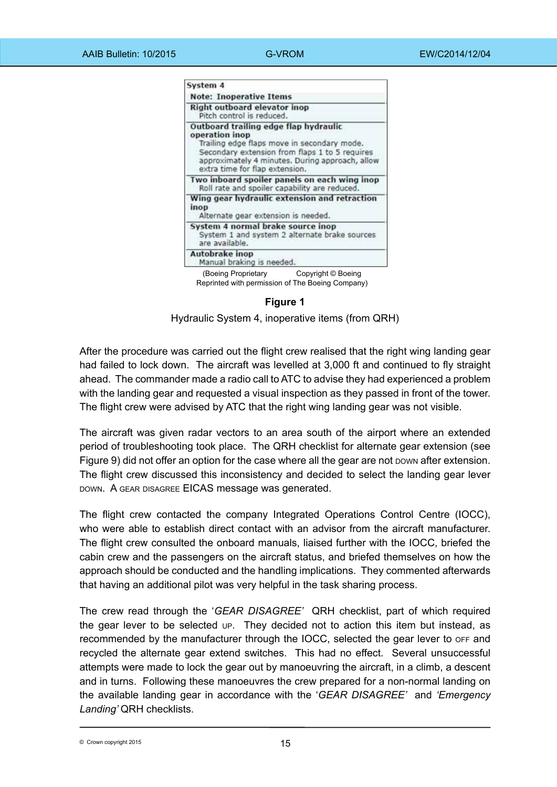

**Figure 1**

Hydraulic System 4, inoperative items (from QRH)

After the procedure was carried out the flight crew realised that the right wing landing gear had failed to lock down. The aircraft was levelled at 3,000 ft and continued to fly straight ahead. The commander made a radio call to ATC to advise they had experienced a problem with the landing gear and requested a visual inspection as they passed in front of the tower. The flight crew were advised by ATC that the right wing landing gear was not visible.

The aircraft was given radar vectors to an area south of the airport where an extended period of troubleshooting took place. The QRH checklist for alternate gear extension (see Figure 9) did not offer an option for the case where all the gear are not bown after extension. The flight crew discussed this inconsistency and decided to select the landing gear lever down. A gear disagree EICAS message was generated.

The flight crew contacted the company Integrated Operations Control Centre (IOCC), who were able to establish direct contact with an advisor from the aircraft manufacturer. The flight crew consulted the onboard manuals, liaised further with the IOCC, briefed the cabin crew and the passengers on the aircraft status, and briefed themselves on how the approach should be conducted and the handling implications. They commented afterwards that having an additional pilot was very helpful in the task sharing process.

The crew read through the '*GEAR DISAGREE'* QRH checklist, part of which required the gear lever to be selected up. They decided not to action this item but instead, as recommended by the manufacturer through the IOCC, selected the gear lever to  $OFF$  and recycled the alternate gear extend switches. This had no effect. Several unsuccessful attempts were made to lock the gear out by manoeuvring the aircraft, in a climb, a descent and in turns. Following these manoeuvres the crew prepared for a non-normal landing on the available landing gear in accordance with the '*GEAR DISAGREE'* and *'Emergency Landing'* QRH checklists.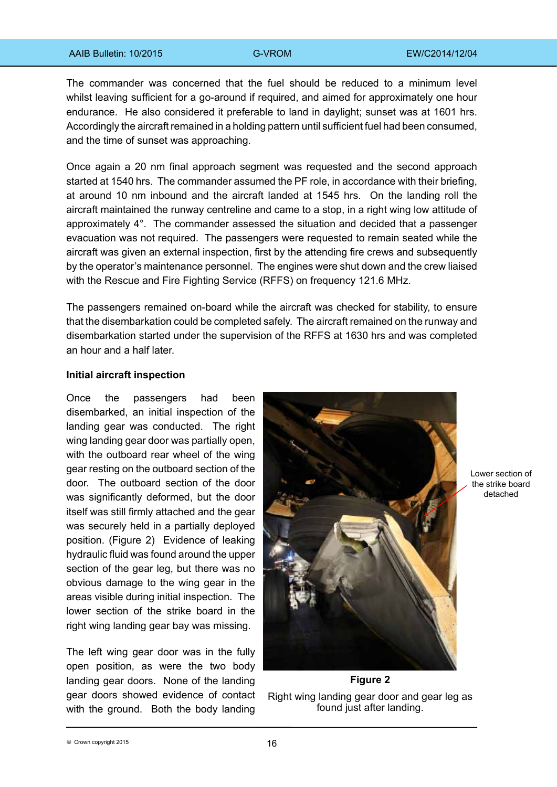The commander was concerned that the fuel should be reduced to a minimum level whilst leaving sufficient for a go-around if required, and aimed for approximately one hour endurance. He also considered it preferable to land in daylight; sunset was at 1601 hrs. Accordingly the aircraft remained in a holding pattern until sufficient fuel had been consumed, and the time of sunset was approaching.

Once again a 20 nm final approach segment was requested and the second approach started at 1540 hrs. The commander assumed the PF role, in accordance with their briefing, at around 10 nm inbound and the aircraft landed at 1545 hrs. On the landing roll the aircraft maintained the runway centreline and came to a stop, in a right wing low attitude of approximately 4°. The commander assessed the situation and decided that a passenger evacuation was not required. The passengers were requested to remain seated while the aircraft was given an external inspection, first by the attending fire crews and subsequently by the operator's maintenance personnel. The engines were shut down and the crew liaised with the Rescue and Fire Fighting Service (RFFS) on frequency 121.6 MHz.

The passengers remained on-board while the aircraft was checked for stability, to ensure that the disembarkation could be completed safely. The aircraft remained on the runway and disembarkation started under the supervision of the RFFS at 1630 hrs and was completed an hour and a half later.

### **Initial aircraft inspection**

Once the passengers had been disembarked, an initial inspection of the landing gear was conducted. The right wing landing gear door was partially open, with the outboard rear wheel of the wing gear resting on the outboard section of the door. The outboard section of the door was significantly deformed, but the door itself was still firmly attached and the gear was securely held in a partially deployed position. (Figure 2) Evidence of leaking hydraulic fluid was found around the upper section of the gear leg, but there was no obvious damage to the wing gear in the areas visible during initial inspection. The lower section of the strike board in the right wing landing gear bay was missing.

The left wing gear door was in the fully open position, as were the two body landing gear doors. None of the landing gear doors showed evidence of contact with the ground. Both the body landing



Lower section of the strike board detached

Right wing landing gear door and gear leg as found just after landing.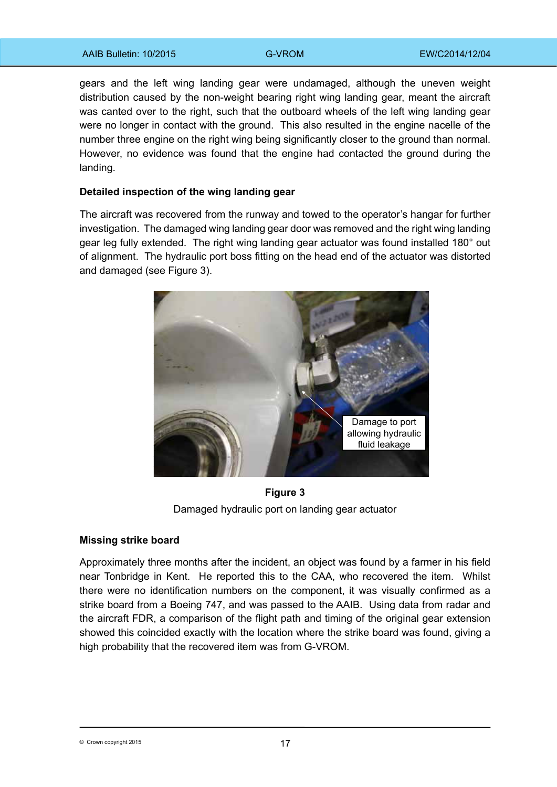gears and the left wing landing gear were undamaged, although the uneven weight distribution caused by the non-weight bearing right wing landing gear, meant the aircraft was canted over to the right, such that the outboard wheels of the left wing landing gear were no longer in contact with the ground. This also resulted in the engine nacelle of the number three engine on the right wing being significantly closer to the ground than normal. However, no evidence was found that the engine had contacted the ground during the landing.

### **Detailed inspection of the wing landing gear**

The aircraft was recovered from the runway and towed to the operator's hangar for further investigation. The damaged wing landing gear door was removed and the right wing landing gear leg fully extended. The right wing landing gear actuator was found installed 180° out of alignment. The hydraulic port boss fitting on the head end of the actuator was distorted and damaged (see Figure 3).



**Figure 3** Damaged hydraulic port on landing gear actuator

### **Missing strike board**

Approximately three months after the incident, an object was found by a farmer in his field near Tonbridge in Kent. He reported this to the CAA, who recovered the item. Whilst there were no identification numbers on the component, it was visually confirmed as a strike board from a Boeing 747, and was passed to the AAIB. Using data from radar and the aircraft FDR, a comparison of the flight path and timing of the original gear extension showed this coincided exactly with the location where the strike board was found, giving a high probability that the recovered item was from G-VROM.

<sup>17</sup> © Crown copyright 2015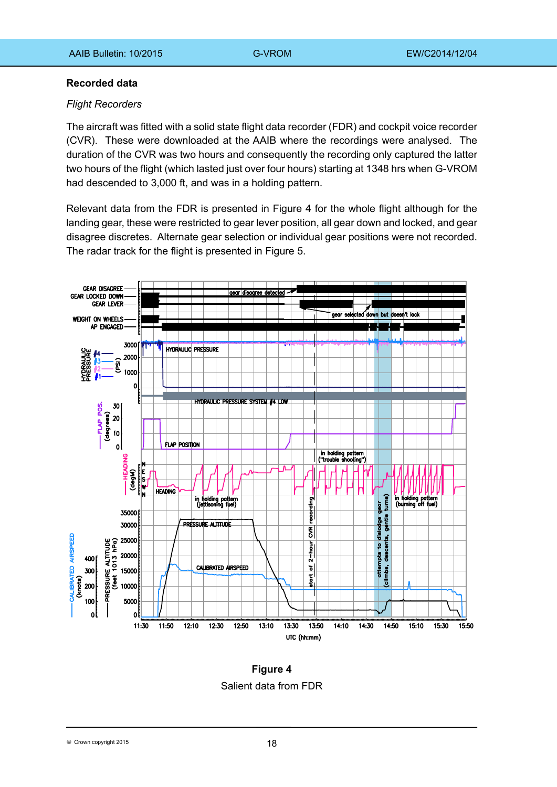### **Recorded data**

### *Flight Recorders*

The aircraft was fitted with a solid state flight data recorder (FDR) and cockpit voice recorder (CVR). These were downloaded at the AAIB where the recordings were analysed. The duration of the CVR was two hours and consequently the recording only captured the latter two hours of the flight (which lasted just over four hours) starting at 1348 hrs when G-VROM had descended to 3,000 ft, and was in a holding pattern.

Relevant data from the FDR is presented in Figure 4 for the whole flight although for the landing gear, these were restricted to gear lever position, all gear down and locked, and gear disagree discretes. Alternate gear selection or individual gear positions were not recorded. The radar track for the flight is presented in Figure 5.



**Figure 4**  Salient data from FDR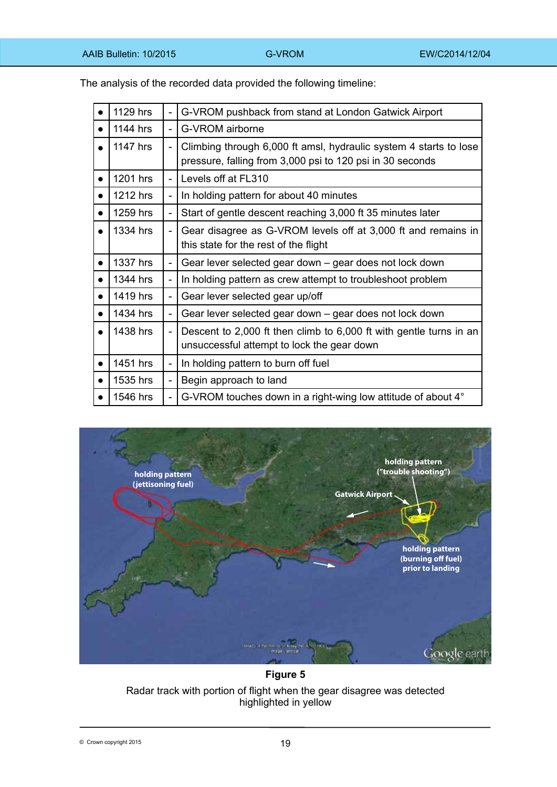The analysis of the recorded data provided the following timeline:

| 1129 hrs | $\blacksquare$           | G-VROM pushback from stand at London Gatwick Airport                                                                           |
|----------|--------------------------|--------------------------------------------------------------------------------------------------------------------------------|
| 1144 hrs |                          | G-VROM airborne                                                                                                                |
| 1147 hrs |                          | Climbing through 6,000 ft amsl, hydraulic system 4 starts to lose<br>pressure, falling from 3,000 psi to 120 psi in 30 seconds |
| 1201 hrs | $\sim$                   | Levels off at FL310                                                                                                            |
| 1212 hrs |                          | In holding pattern for about 40 minutes                                                                                        |
| 1259 hrs |                          | Start of gentle descent reaching 3,000 ft 35 minutes later                                                                     |
| 1334 hrs |                          | Gear disagree as G-VROM levels off at 3,000 ft and remains in<br>this state for the rest of the flight                         |
|          |                          |                                                                                                                                |
| 1337 hrs |                          | Gear lever selected gear down – gear does not lock down                                                                        |
| 1344 hrs |                          | In holding pattern as crew attempt to troubleshoot problem                                                                     |
| 1419 hrs |                          | Gear lever selected gear up/off                                                                                                |
| 1434 hrs |                          | Gear lever selected gear down – gear does not lock down                                                                        |
| 1438 hrs |                          | Descent to 2,000 ft then climb to 6,000 ft with gentle turns in an<br>unsuccessful attempt to lock the gear down               |
| 1451 hrs | $\overline{\phantom{a}}$ | In holding pattern to burn off fuel                                                                                            |
| 1535 hrs |                          | Begin approach to land                                                                                                         |



**Figure 5**  Radar track with portion of flight when the gear disagree was detected highlighted in yellow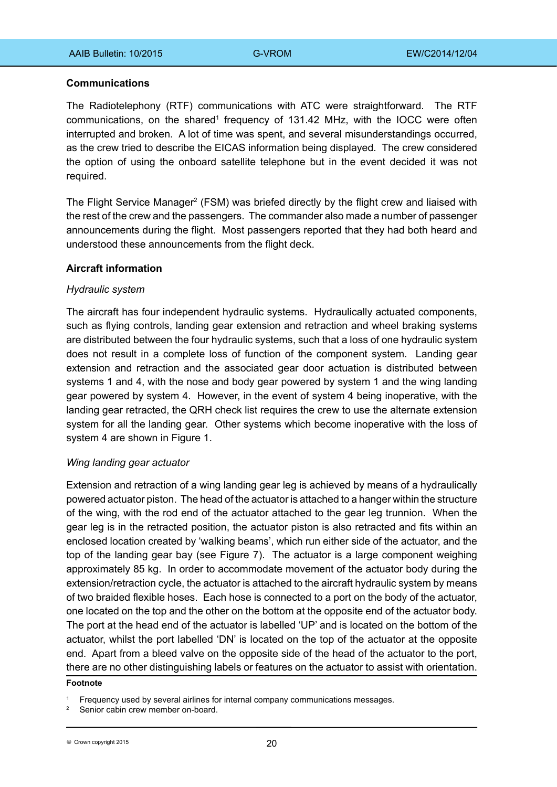### **Communications**

The Radiotelephony (RTF) communications with ATC were straightforward. The RTF communications, on the shared<sup>1</sup> frequency of 131.42 MHz, with the IOCC were often interrupted and broken. A lot of time was spent, and several misunderstandings occurred, as the crew tried to describe the EICAS information being displayed. The crew considered the option of using the onboard satellite telephone but in the event decided it was not required.

The Flight Service Manager<sup>2</sup> (FSM) was briefed directly by the flight crew and liaised with the rest of the crew and the passengers. The commander also made a number of passenger announcements during the flight. Most passengers reported that they had both heard and understood these announcements from the flight deck.

### **Aircraft information**

### *Hydraulic system*

The aircraft has four independent hydraulic systems. Hydraulically actuated components, such as flying controls, landing gear extension and retraction and wheel braking systems are distributed between the four hydraulic systems, such that a loss of one hydraulic system does not result in a complete loss of function of the component system. Landing gear extension and retraction and the associated gear door actuation is distributed between systems 1 and 4, with the nose and body gear powered by system 1 and the wing landing gear powered by system 4. However, in the event of system 4 being inoperative, with the landing gear retracted, the QRH check list requires the crew to use the alternate extension system for all the landing gear. Other systems which become inoperative with the loss of system 4 are shown in Figure 1.

## *Wing landing gear actuator*

Extension and retraction of a wing landing gear leg is achieved by means of a hydraulically powered actuator piston. The head of the actuator is attached to a hanger within the structure of the wing, with the rod end of the actuator attached to the gear leg trunnion. When the gear leg is in the retracted position, the actuator piston is also retracted and fits within an enclosed location created by 'walking beams', which run either side of the actuator, and the top of the landing gear bay (see Figure 7). The actuator is a large component weighing approximately 85 kg. In order to accommodate movement of the actuator body during the extension/retraction cycle, the actuator is attached to the aircraft hydraulic system by means of two braided flexible hoses. Each hose is connected to a port on the body of the actuator, one located on the top and the other on the bottom at the opposite end of the actuator body. The port at the head end of the actuator is labelled 'UP' and is located on the bottom of the actuator, whilst the port labelled 'DN' is located on the top of the actuator at the opposite end. Apart from a bleed valve on the opposite side of the head of the actuator to the port, there are no other distinguishing labels or features on the actuator to assist with orientation.

### **Footnote**

Frequency used by several airlines for internal company communications messages.

Senior cabin crew member on-board.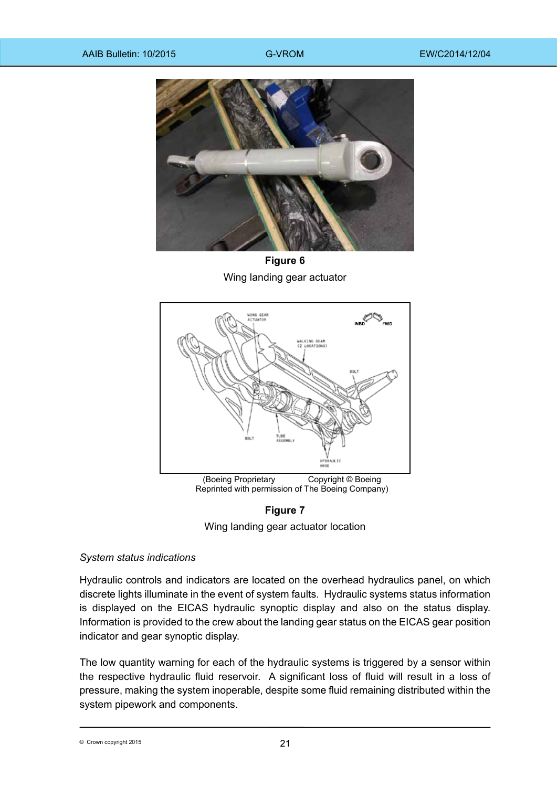

**Figure 6** Wing landing gear actuator



**Figure 7**

Wing landing gear actuator location

## *System status indications*

Hydraulic controls and indicators are located on the overhead hydraulics panel, on which discrete lights illuminate in the event of system faults. Hydraulic systems status information is displayed on the EICAS hydraulic synoptic display and also on the status display. Information is provided to the crew about the landing gear status on the EICAS gear position indicator and gear synoptic display.

The low quantity warning for each of the hydraulic systems is triggered by a sensor within the respective hydraulic fluid reservoir. A significant loss of fluid will result in a loss of pressure, making the system inoperable, despite some fluid remaining distributed within the system pipework and components.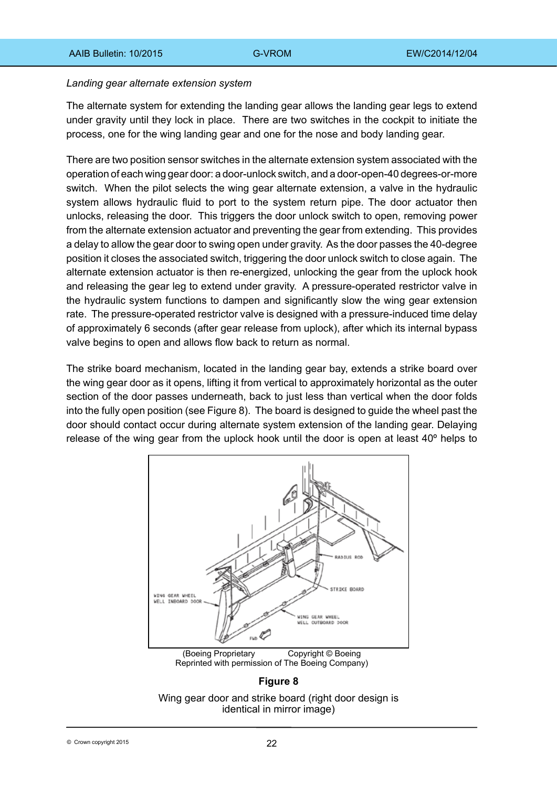### *Landing gear alternate extension system*

The alternate system for extending the landing gear allows the landing gear legs to extend under gravity until they lock in place. There are two switches in the cockpit to initiate the process, one for the wing landing gear and one for the nose and body landing gear.

There are two position sensor switches in the alternate extension system associated with the operation of each wing gear door: a door-unlock switch, and a door-open-40 degrees-or-more switch. When the pilot selects the wing gear alternate extension, a valve in the hydraulic system allows hydraulic fluid to port to the system return pipe. The door actuator then unlocks, releasing the door. This triggers the door unlock switch to open, removing power from the alternate extension actuator and preventing the gear from extending. This provides a delay to allow the gear door to swing open under gravity. As the door passes the 40-degree position it closes the associated switch, triggering the door unlock switch to close again. The alternate extension actuator is then re-energized, unlocking the gear from the uplock hook and releasing the gear leg to extend under gravity. A pressure‑operated restrictor valve in the hydraulic system functions to dampen and significantly slow the wing gear extension rate. The pressure-operated restrictor valve is designed with a pressure-induced time delay of approximately 6 seconds (after gear release from uplock), after which its internal bypass valve begins to open and allows flow back to return as normal.

The strike board mechanism, located in the landing gear bay, extends a strike board over the wing gear door as it opens, lifting it from vertical to approximately horizontal as the outer section of the door passes underneath, back to just less than vertical when the door folds into the fully open position (see Figure 8). The board is designed to guide the wheel past the door should contact occur during alternate system extension of the landing gear. Delaying release of the wing gear from the uplock hook until the door is open at least 40º helps to



(Boeing Proprietary Copyright © Boeing Reprinted with permission of The Boeing Company)

## **Figure 8**

Wing gear door and strike board (right door design is identical in mirror image)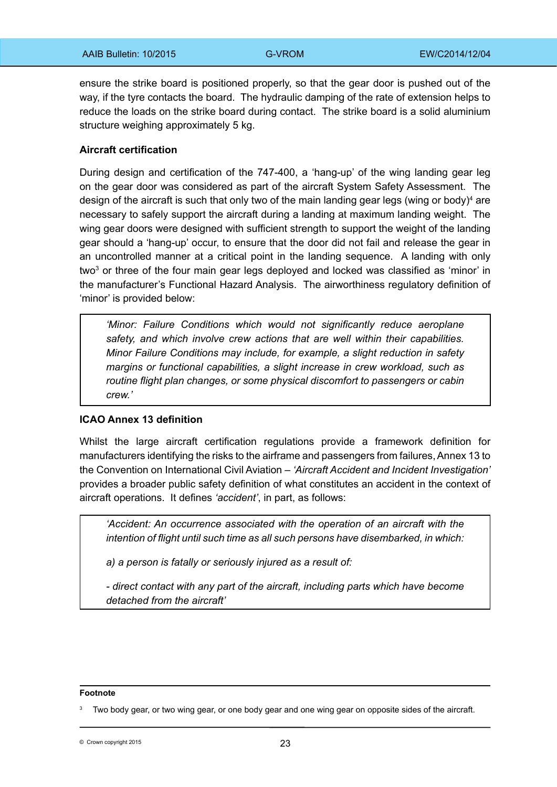ensure the strike board is positioned properly, so that the gear door is pushed out of the way, if the tyre contacts the board. The hydraulic damping of the rate of extension helps to reduce the loads on the strike board during contact. The strike board is a solid aluminium structure weighing approximately 5 kg.

### **Aircraft certification**

During design and certification of the 747-400, a 'hang-up' of the wing landing gear leg on the gear door was considered as part of the aircraft System Safety Assessment. The design of the aircraft is such that only two of the main landing gear legs (wing or body)<sup>4</sup> are necessary to safely support the aircraft during a landing at maximum landing weight. The wing gear doors were designed with sufficient strength to support the weight of the landing gear should a 'hang-up' occur, to ensure that the door did not fail and release the gear in an uncontrolled manner at a critical point in the landing sequence. A landing with only two<sup>3</sup> or three of the four main gear legs deployed and locked was classified as 'minor' in the manufacturer's Functional Hazard Analysis. The airworthiness regulatory definition of 'minor' is provided below:

*'Minor: Failure Conditions which would not significantly reduce aeroplane safety, and which involve crew actions that are well within their capabilities. Minor Failure Conditions may include, for example, a slight reduction in safety margins or functional capabilities, a slight increase in crew workload, such as routine flight plan changes, or some physical discomfort to passengers or cabin crew.'*

### **ICAO Annex 13 definition**

Whilst the large aircraft certification regulations provide a framework definition for manufacturers identifying the risks to the airframe and passengers from failures, Annex 13 to the Convention on International Civil Aviation – *'Aircraft Accident and Incident Investigation'* provides a broader public safety definition of what constitutes an accident in the context of aircraft operations. It defines *'accident'*, in part, as follows:

*'Accident: An occurrence associated with the operation of an aircraft with the intention of flight until such time as all such persons have disembarked, in which:*

*a) a person is fatally or seriously injured as a result of:*

*- direct contact with any part of the aircraft, including parts which have become detached from the aircraft'*

#### **Footnote**

© Crown copyright 2015 **23** 

Two body gear, or two wing gear, or one body gear and one wing gear on opposite sides of the aircraft.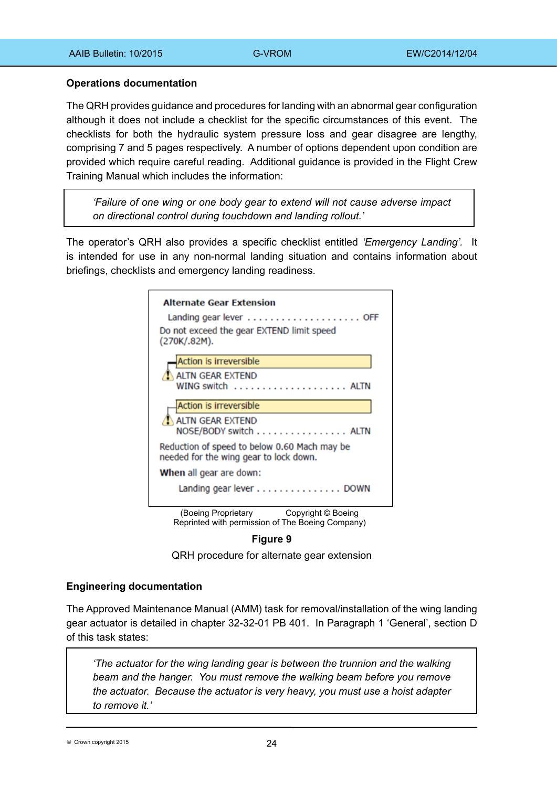### **Operations documentation**

The QRH provides guidance and procedures for landing with an abnormal gear configuration although it does not include a checklist for the specific circumstances of this event. The checklists for both the hydraulic system pressure loss and gear disagree are lengthy, comprising 7 and 5 pages respectively. A number of options dependent upon condition are provided which require careful reading. Additional guidance is provided in the Flight Crew Training Manual which includes the information:

*'Failure of one wing or one body gear to extend will not cause adverse impact on directional control during touchdown and landing rollout.'* 

The operator's QRH also provides a specific checklist entitled *'Emergency Landing'.* It is intended for use in any non-normal landing situation and contains information about briefings, checklists and emergency landing readiness.

| <b>Alternate Gear Extension</b><br>Do not exceed the gear EXTEND limit speed<br>(270K/.82M).  |
|-----------------------------------------------------------------------------------------------|
| <b>Action is irreversible</b>                                                                 |
| ALTN GEAR EXTEND                                                                              |
| Action is irreversible                                                                        |
| <b>ALTN GEAR EXTEND</b><br>NOSE/BODY switch ALTN                                              |
| Reduction of speed to below 0.60 Mach may be<br>needed for the wing gear to lock down.        |
| When all gear are down:                                                                       |
| Landing gear lever DOWN                                                                       |
| (Boeing Proprietary<br>Copyright © Boeing<br>Reprinted with permission of The Boeing Company) |

**Figure 9** 

QRH procedure for alternate gear extension

### **Engineering documentation**

The Approved Maintenance Manual (AMM) task for removal/installation of the wing landing gear actuator is detailed in chapter 32-32-01 PB 401. In Paragraph 1 'General', section D of this task states:

*'The actuator for the wing landing gear is between the trunnion and the walking beam and the hanger. You must remove the walking beam before you remove the actuator. Because the actuator is very heavy, you must use a hoist adapter to remove it.'*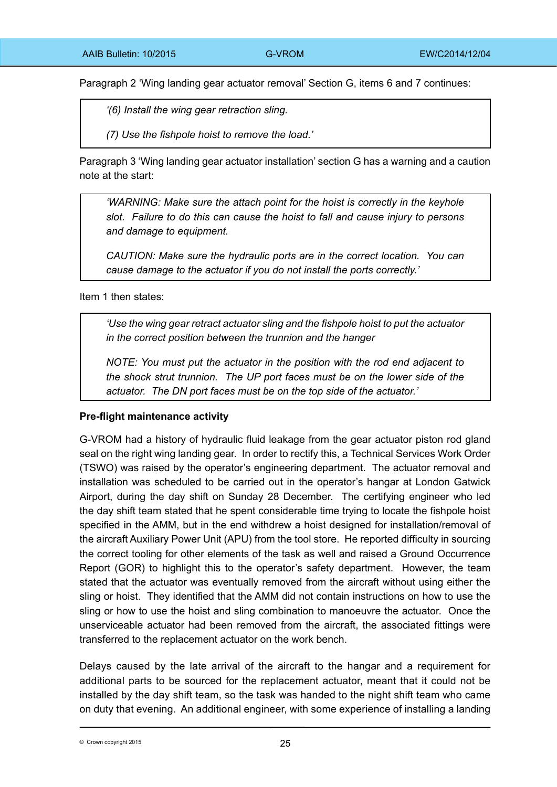Paragraph 2 'Wing landing gear actuator removal' Section G, items 6 and 7 continues:

*'(6) Install the wing gear retraction sling.*

*(7) Use the fishpole hoist to remove the load.'*

Paragraph 3 'Wing landing gear actuator installation' section G has a warning and a caution note at the start:

*'WARNING: Make sure the attach point for the hoist is correctly in the keyhole slot. Failure to do this can cause the hoist to fall and cause injury to persons and damage to equipment.*

*CAUTION: Make sure the hydraulic ports are in the correct location. You can cause damage to the actuator if you do not install the ports correctly.'*

Item 1 then states:

*'Use the wing gear retract actuator sling and the fishpole hoist to put the actuator in the correct position between the trunnion and the hanger*

*NOTE: You must put the actuator in the position with the rod end adjacent to the shock strut trunnion. The UP port faces must be on the lower side of the actuator. The DN port faces must be on the top side of the actuator.'*

## **Pre-flight maintenance activity**

G-VROM had a history of hydraulic fluid leakage from the gear actuator piston rod gland seal on the right wing landing gear. In order to rectify this, a Technical Services Work Order (TSWO) was raised by the operator's engineering department. The actuator removal and installation was scheduled to be carried out in the operator's hangar at London Gatwick Airport, during the day shift on Sunday 28 December. The certifying engineer who led the day shift team stated that he spent considerable time trying to locate the fishpole hoist specified in the AMM, but in the end withdrew a hoist designed for installation/removal of the aircraft Auxiliary Power Unit (APU) from the tool store. He reported difficulty in sourcing the correct tooling for other elements of the task as well and raised a Ground Occurrence Report (GOR) to highlight this to the operator's safety department. However, the team stated that the actuator was eventually removed from the aircraft without using either the sling or hoist. They identified that the AMM did not contain instructions on how to use the sling or how to use the hoist and sling combination to manoeuvre the actuator. Once the unserviceable actuator had been removed from the aircraft, the associated fittings were transferred to the replacement actuator on the work bench.

Delays caused by the late arrival of the aircraft to the hangar and a requirement for additional parts to be sourced for the replacement actuator, meant that it could not be installed by the day shift team, so the task was handed to the night shift team who came on duty that evening. An additional engineer, with some experience of installing a landing

 $\degree$  Crown copyright 2015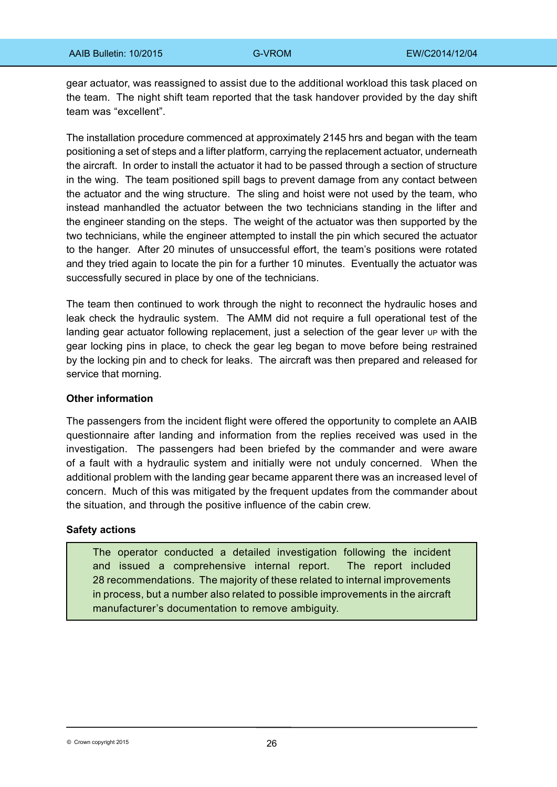gear actuator, was reassigned to assist due to the additional workload this task placed on the team. The night shift team reported that the task handover provided by the day shift team was "excellent".

The installation procedure commenced at approximately 2145 hrs and began with the team positioning a set of steps and a lifter platform, carrying the replacement actuator, underneath the aircraft. In order to install the actuator it had to be passed through a section of structure in the wing. The team positioned spill bags to prevent damage from any contact between the actuator and the wing structure. The sling and hoist were not used by the team, who instead manhandled the actuator between the two technicians standing in the lifter and the engineer standing on the steps. The weight of the actuator was then supported by the two technicians, while the engineer attempted to install the pin which secured the actuator to the hanger. After 20 minutes of unsuccessful effort, the team's positions were rotated and they tried again to locate the pin for a further 10 minutes. Eventually the actuator was successfully secured in place by one of the technicians.

The team then continued to work through the night to reconnect the hydraulic hoses and leak check the hydraulic system. The AMM did not require a full operational test of the landing gear actuator following replacement, just a selection of the gear lever up with the gear locking pins in place, to check the gear leg began to move before being restrained by the locking pin and to check for leaks. The aircraft was then prepared and released for service that morning.

### **Other information**

The passengers from the incident flight were offered the opportunity to complete an AAIB questionnaire after landing and information from the replies received was used in the investigation. The passengers had been briefed by the commander and were aware of a fault with a hydraulic system and initially were not unduly concerned. When the additional problem with the landing gear became apparent there was an increased level of concern. Much of this was mitigated by the frequent updates from the commander about the situation, and through the positive influence of the cabin crew.

### **Safety actions**

The operator conducted a detailed investigation following the incident and issued a comprehensive internal report. The report included 28 recommendations. The majority of these related to internal improvements in process, but a number also related to possible improvements in the aircraft manufacturer's documentation to remove ambiguity.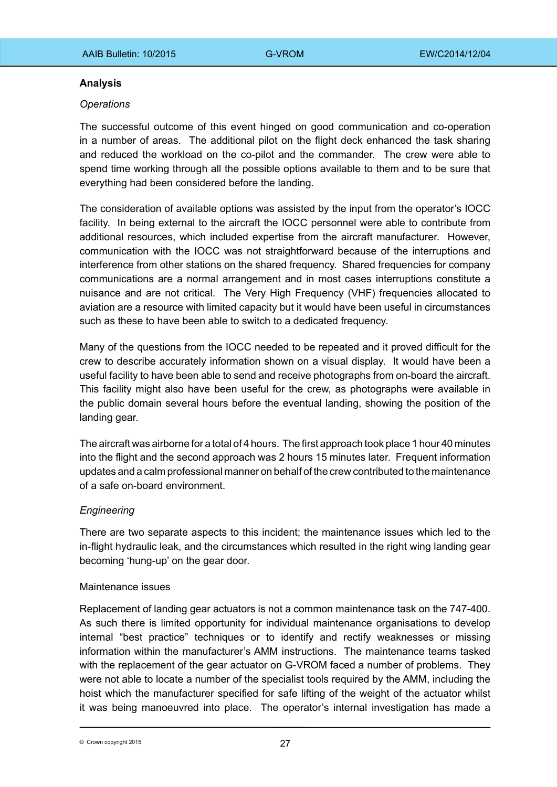### **Analysis**

### *Operations*

The successful outcome of this event hinged on good communication and co-operation in a number of areas. The additional pilot on the flight deck enhanced the task sharing and reduced the workload on the co-pilot and the commander. The crew were able to spend time working through all the possible options available to them and to be sure that everything had been considered before the landing.

The consideration of available options was assisted by the input from the operator's IOCC facility. In being external to the aircraft the IOCC personnel were able to contribute from additional resources, which included expertise from the aircraft manufacturer. However, communication with the IOCC was not straightforward because of the interruptions and interference from other stations on the shared frequency. Shared frequencies for company communications are a normal arrangement and in most cases interruptions constitute a nuisance and are not critical. The Very High Frequency (VHF) frequencies allocated to aviation are a resource with limited capacity but it would have been useful in circumstances such as these to have been able to switch to a dedicated frequency.

Many of the questions from the IOCC needed to be repeated and it proved difficult for the crew to describe accurately information shown on a visual display. It would have been a useful facility to have been able to send and receive photographs from on-board the aircraft. This facility might also have been useful for the crew, as photographs were available in the public domain several hours before the eventual landing, showing the position of the landing gear.

The aircraft was airborne for a total of 4 hours. The first approach took place 1 hour 40 minutes into the flight and the second approach was 2 hours 15 minutes later. Frequent information updates and a calm professional manner on behalf of the crew contributed to the maintenance of a safe on-board environment.

## *Engineering*

There are two separate aspects to this incident; the maintenance issues which led to the in-flight hydraulic leak, and the circumstances which resulted in the right wing landing gear becoming 'hung-up' on the gear door.

### Maintenance issues

Replacement of landing gear actuators is not a common maintenance task on the 747‑400. As such there is limited opportunity for individual maintenance organisations to develop internal "best practice" techniques or to identify and rectify weaknesses or missing information within the manufacturer's AMM instructions. The maintenance teams tasked with the replacement of the gear actuator on G-VROM faced a number of problems. They were not able to locate a number of the specialist tools required by the AMM, including the hoist which the manufacturer specified for safe lifting of the weight of the actuator whilst it was being manoeuvred into place. The operator's internal investigation has made a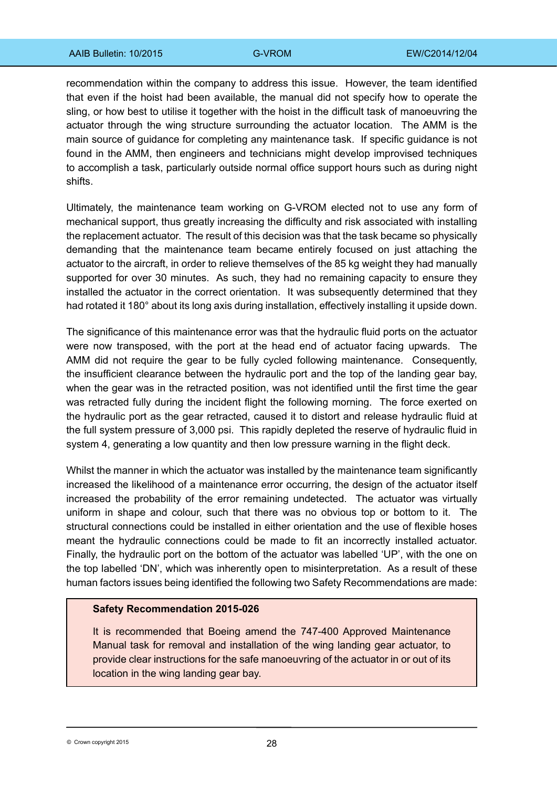recommendation within the company to address this issue. However, the team identified that even if the hoist had been available, the manual did not specify how to operate the sling, or how best to utilise it together with the hoist in the difficult task of manoeuvring the actuator through the wing structure surrounding the actuator location. The AMM is the main source of guidance for completing any maintenance task. If specific guidance is not found in the AMM, then engineers and technicians might develop improvised techniques to accomplish a task, particularly outside normal office support hours such as during night shifts.

Ultimately, the maintenance team working on G-VROM elected not to use any form of mechanical support, thus greatly increasing the difficulty and risk associated with installing the replacement actuator. The result of this decision was that the task became so physically demanding that the maintenance team became entirely focused on just attaching the actuator to the aircraft, in order to relieve themselves of the 85 kg weight they had manually supported for over 30 minutes. As such, they had no remaining capacity to ensure they installed the actuator in the correct orientation. It was subsequently determined that they had rotated it 180° about its long axis during installation, effectively installing it upside down.

The significance of this maintenance error was that the hydraulic fluid ports on the actuator were now transposed, with the port at the head end of actuator facing upwards. The AMM did not require the gear to be fully cycled following maintenance. Consequently, the insufficient clearance between the hydraulic port and the top of the landing gear bay, when the gear was in the retracted position, was not identified until the first time the gear was retracted fully during the incident flight the following morning. The force exerted on the hydraulic port as the gear retracted, caused it to distort and release hydraulic fluid at the full system pressure of 3,000 psi. This rapidly depleted the reserve of hydraulic fluid in system 4, generating a low quantity and then low pressure warning in the flight deck.

Whilst the manner in which the actuator was installed by the maintenance team significantly increased the likelihood of a maintenance error occurring, the design of the actuator itself increased the probability of the error remaining undetected. The actuator was virtually uniform in shape and colour, such that there was no obvious top or bottom to it. The structural connections could be installed in either orientation and the use of flexible hoses meant the hydraulic connections could be made to fit an incorrectly installed actuator. Finally, the hydraulic port on the bottom of the actuator was labelled 'UP', with the one on the top labelled 'DN', which was inherently open to misinterpretation. As a result of these human factors issues being identified the following two Safety Recommendations are made:

### **Safety Recommendation 2015-026**

It is recommended that Boeing amend the 747-400 Approved Maintenance Manual task for removal and installation of the wing landing gear actuator, to provide clear instructions for the safe manoeuvring of the actuator in or out of its location in the wing landing gear bay.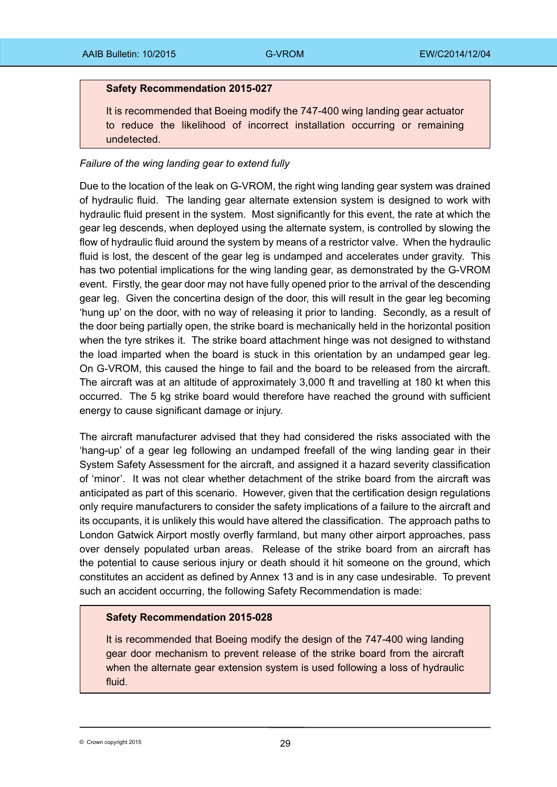### **Safety Recommendation 2015-027**

It is recommended that Boeing modify the 747-400 wing landing gear actuator to reduce the likelihood of incorrect installation occurring or remaining undetected.

### *Failure of the wing landing gear to extend fully*

Due to the location of the leak on G-VROM, the right wing landing gear system was drained of hydraulic fluid. The landing gear alternate extension system is designed to work with hydraulic fluid present in the system. Most significantly for this event, the rate at which the gear leg descends, when deployed using the alternate system, is controlled by slowing the flow of hydraulic fluid around the system by means of a restrictor valve. When the hydraulic fluid is lost, the descent of the gear leg is undamped and accelerates under gravity. This has two potential implications for the wing landing gear, as demonstrated by the G-VROM event. Firstly, the gear door may not have fully opened prior to the arrival of the descending gear leg. Given the concertina design of the door, this will result in the gear leg becoming 'hung up' on the door, with no way of releasing it prior to landing. Secondly, as a result of the door being partially open, the strike board is mechanically held in the horizontal position when the tyre strikes it. The strike board attachment hinge was not designed to withstand the load imparted when the board is stuck in this orientation by an undamped gear leg. On G-VROM, this caused the hinge to fail and the board to be released from the aircraft. The aircraft was at an altitude of approximately 3,000 ft and travelling at 180 kt when this occurred. The 5 kg strike board would therefore have reached the ground with sufficient energy to cause significant damage or injury.

The aircraft manufacturer advised that they had considered the risks associated with the 'hang-up' of a gear leg following an undamped freefall of the wing landing gear in their System Safety Assessment for the aircraft, and assigned it a hazard severity classification of 'minor'. It was not clear whether detachment of the strike board from the aircraft was anticipated as part of this scenario. However, given that the certification design regulations only require manufacturers to consider the safety implications of a failure to the aircraft and its occupants, it is unlikely this would have altered the classification. The approach paths to London Gatwick Airport mostly overfly farmland, but many other airport approaches, pass over densely populated urban areas. Release of the strike board from an aircraft has the potential to cause serious injury or death should it hit someone on the ground, which constitutes an accident as defined by Annex 13 and is in any case undesirable. To prevent such an accident occurring, the following Safety Recommendation is made:

## **Safety Recommendation 2015-028**

It is recommended that Boeing modify the design of the 747-400 wing landing gear door mechanism to prevent release of the strike board from the aircraft when the alternate gear extension system is used following a loss of hydraulic fluid.

© Crown copyright 2015 **29**